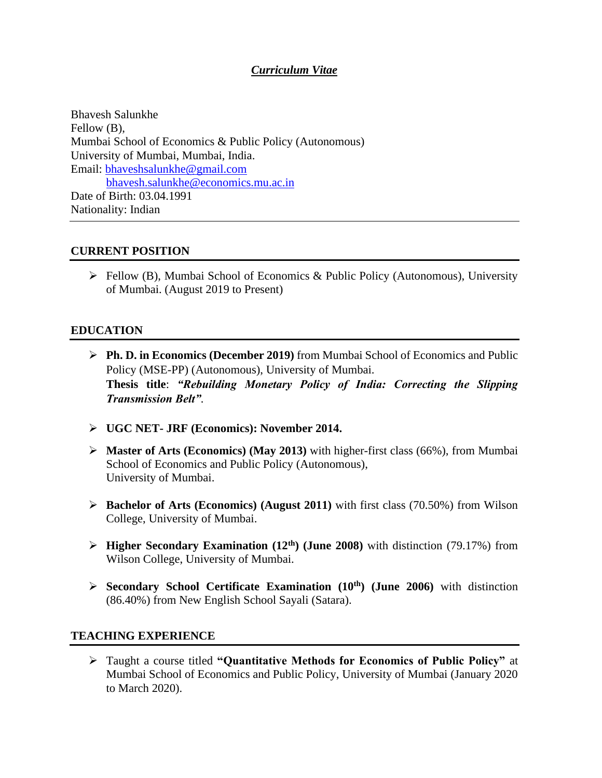# *Curriculum Vitae*

Bhavesh Salunkhe Fellow  $(B)$ , Mumbai School of Economics & Public Policy (Autonomous) University of Mumbai, Mumbai, India. Email: [bhaveshsalunkhe@gmail.com](mailto:bhaveshsalunkhe@gmail.com)  [bhavesh.salunkhe@economics.mu.ac.in](mailto:bhavesh.salunkhe@economics.mu.ac.in) Date of Birth: 03.04.1991 Nationality: Indian

## **CURRENT POSITION**

➢ Fellow (B), Mumbai School of Economics & Public Policy (Autonomous), University of Mumbai. (August 2019 to Present)

## **EDUCATION**

- ➢ **Ph. D. in Economics (December 2019)** from Mumbai School of Economics and Public Policy (MSE-PP) (Autonomous), University of Mumbai. **Thesis title**: *"Rebuilding Monetary Policy of India: Correcting the Slipping Transmission Belt".*
- ➢ **UGC NET- JRF (Economics): November 2014.**
- ➢ **Master of Arts (Economics) (May 2013)** with higher-first class (66%), from Mumbai School of Economics and Public Policy (Autonomous), University of Mumbai.
- ➢ **Bachelor of Arts (Economics) (August 2011)** with first class (70.50%) from Wilson College, University of Mumbai.
- ➢ **Higher Secondary Examination (12th) (June 2008)** with distinction (79.17%) from Wilson College, University of Mumbai.
- ➢ **Secondary School Certificate Examination (10th) (June 2006)** with distinction (86.40%) from New English School Sayali (Satara).

## **TEACHING EXPERIENCE**

➢ Taught a course titled **"Quantitative Methods for Economics of Public Policy"** at Mumbai School of Economics and Public Policy, University of Mumbai (January 2020 to March 2020).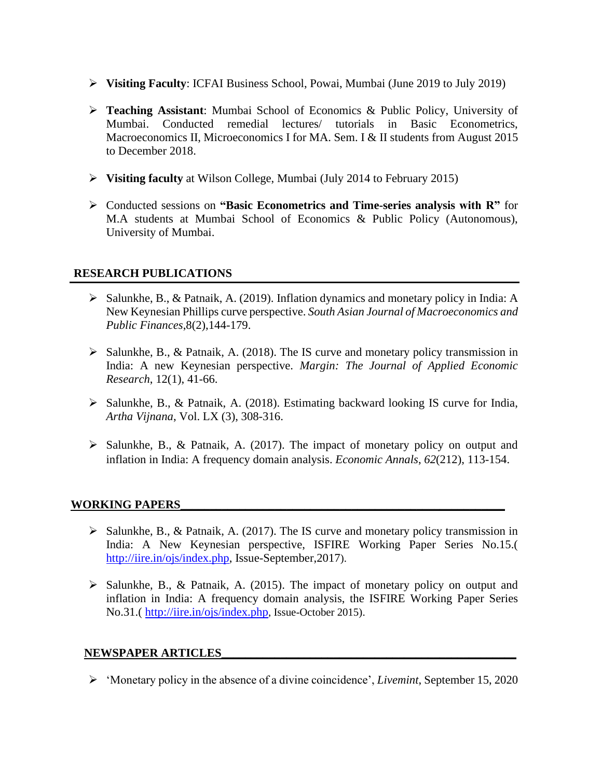- ➢ **Visiting Faculty**: ICFAI Business School, Powai, Mumbai (June 2019 to July 2019)
- ➢ **Teaching Assistant**: Mumbai School of Economics & Public Policy, University of Mumbai. Conducted remedial lectures/ tutorials in Basic Econometrics, Macroeconomics II, Microeconomics I for MA. Sem. I & II students from August 2015 to December 2018.
- ➢ **Visiting faculty** at Wilson College, Mumbai (July 2014 to February 2015)
- ➢ Conducted sessions on **"Basic Econometrics and Time-series analysis with R"** for M.A students at Mumbai School of Economics & Public Policy (Autonomous), University of Mumbai.

## **RESEARCH PUBLICATIONS**

- ➢ Salunkhe, B., & Patnaik, A. (2019). Inflation dynamics and monetary policy in India: A New Keynesian Phillips curve perspective. *South Asian Journal of Macroeconomics and Public Finances*,8(2),144-179.
- ➢ Salunkhe, B., & Patnaik, A. (2018). The IS curve and monetary policy transmission in India: A new Keynesian perspective. *Margin: The Journal of Applied Economic Research*, 12(1), 41-66.
- ➢ Salunkhe, B., & Patnaik, A. (2018). Estimating backward looking IS curve for India, *Artha Vijnana*, Vol. LX (3), 308-316.
- $\triangleright$  Salunkhe, B., & Patnaik, A. (2017). The impact of monetary policy on output and inflation in India: A frequency domain analysis. *Economic Annals*, *62*(212), 113-154.

## WORKING PAPERS

- $\triangleright$  Salunkhe, B., & Patnaik, A. (2017). The IS curve and monetary policy transmission in India: A New Keynesian perspective, ISFIRE Working Paper Series No.15.( [http://iire.in/ojs/index.php,](http://iire.in/ojs/index.php) Issue-September,2017).
- ➢ Salunkhe, B., & Patnaik, A. (2015). The impact of monetary policy on output and inflation in India: A frequency domain analysis, the ISFIRE Working Paper Series No.31.( <http://iire.in/ojs/index.php>, Issue-October 2015).

#### **NEWSPAPER ARTICLES\_\_\_\_\_\_\_\_\_\_\_\_\_\_\_\_\_\_\_\_\_\_\_\_\_\_\_\_\_\_\_\_\_\_\_\_\_\_\_\_\_\_\_\_\_\_\_\_\_\_**

➢ 'Monetary policy in the absence of a divine coincidence', *Livemint*, September 15, 2020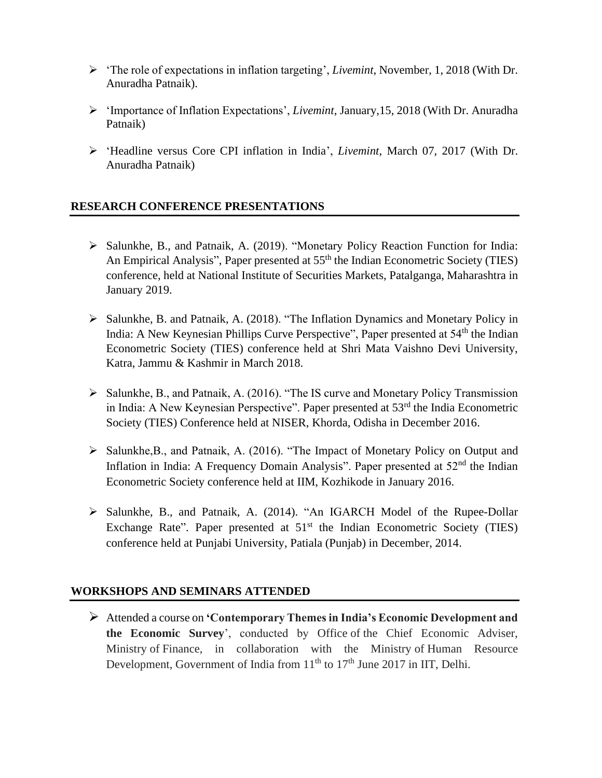- ➢ 'The role of expectations in inflation targeting', *Livemint*, November, 1, 2018 (With Dr. Anuradha Patnaik).
- ➢ 'Importance of Inflation Expectations', *Livemint*, January,15, 2018 (With Dr. Anuradha Patnaik)
- ➢ 'Headline versus Core CPI inflation in India', *Livemint*, March 07, 2017 (With Dr. Anuradha Patnaik)

# **RESEARCH CONFERENCE PRESENTATIONS**

- ➢ Salunkhe, B., and Patnaik, A. (2019). "Monetary Policy Reaction Function for India: An Empirical Analysis", Paper presented at 55<sup>th</sup> the Indian Econometric Society (TIES) conference, held at National Institute of Securities Markets, Patalganga, Maharashtra in January 2019.
- ➢ Salunkhe, B. and Patnaik, A. (2018). "The Inflation Dynamics and Monetary Policy in India: A New Keynesian Phillips Curve Perspective", Paper presented at  $54<sup>th</sup>$  the Indian Econometric Society (TIES) conference held at Shri Mata Vaishno Devi University, Katra, Jammu & Kashmir in March 2018.
- ➢ Salunkhe, B., and Patnaik, A. (2016). "The IS curve and Monetary Policy Transmission in India: A New Keynesian Perspective". Paper presented at 53<sup>rd</sup> the India Econometric Society (TIES) Conference held at NISER, Khorda, Odisha in December 2016.
- ➢ Salunkhe,B., and Patnaik, A. (2016). "The Impact of Monetary Policy on Output and Inflation in India: A Frequency Domain Analysis". Paper presented at  $52<sup>nd</sup>$  the Indian Econometric Society conference held at IIM, Kozhikode in January 2016.
- ➢ Salunkhe, B., and Patnaik, A. (2014). "An IGARCH Model of the Rupee-Dollar Exchange Rate". Paper presented at  $51<sup>st</sup>$  the Indian Econometric Society (TIES) conference held at Punjabi University, Patiala (Punjab) in December, 2014.

# **WORKSHOPS AND SEMINARS ATTENDED**

➢ Attended a course on **'Contemporary Themes in India's Economic Development and the Economic Survey**', conducted by Office of the Chief Economic Adviser, Ministry of Finance, in collaboration with the Ministry of Human Resource Development, Government of India from  $11<sup>th</sup>$  to  $17<sup>th</sup>$  June 2017 in IIT, Delhi.